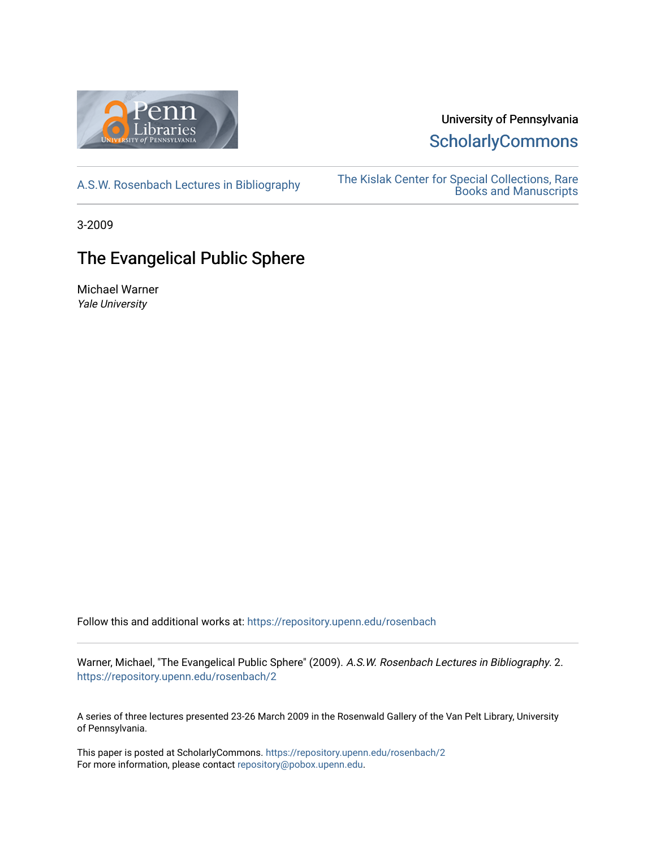

# University of Pennsylvania **ScholarlyCommons**

[A.S.W. Rosenbach Lectures in Bibliography](https://repository.upenn.edu/rosenbach) [The Kislak Center for Special Collections, Rare](https://repository.upenn.edu/kislak)  [Books and Manuscripts](https://repository.upenn.edu/kislak) 

3-2009

# The Evangelical Public Sphere

Michael Warner Yale University

Follow this and additional works at: [https://repository.upenn.edu/rosenbach](https://repository.upenn.edu/rosenbach?utm_source=repository.upenn.edu%2Frosenbach%2F2&utm_medium=PDF&utm_campaign=PDFCoverPages)

Warner, Michael, "The Evangelical Public Sphere" (2009). A.S.W. Rosenbach Lectures in Bibliography. 2. [https://repository.upenn.edu/rosenbach/2](https://repository.upenn.edu/rosenbach/2?utm_source=repository.upenn.edu%2Frosenbach%2F2&utm_medium=PDF&utm_campaign=PDFCoverPages)

A series of three lectures presented 23-26 March 2009 in the Rosenwald Gallery of the Van Pelt Library, University of Pennsylvania.

This paper is posted at ScholarlyCommons.<https://repository.upenn.edu/rosenbach/2> For more information, please contact [repository@pobox.upenn.edu.](mailto:repository@pobox.upenn.edu)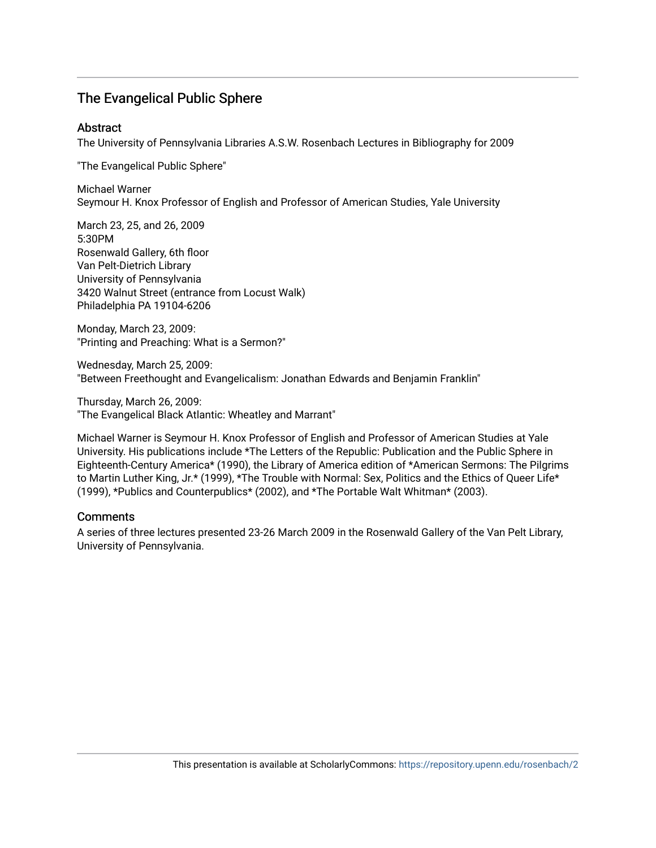### The Evangelical Public Sphere

#### **Abstract**

The University of Pennsylvania Libraries A.S.W. Rosenbach Lectures in Bibliography for 2009

"The Evangelical Public Sphere"

Michael Warner Seymour H. Knox Professor of English and Professor of American Studies, Yale University

March 23, 25, and 26, 2009 5:30PM Rosenwald Gallery, 6th floor Van Pelt-Dietrich Library University of Pennsylvania 3420 Walnut Street (entrance from Locust Walk) Philadelphia PA 19104-6206

Monday, March 23, 2009: "Printing and Preaching: What is a Sermon?"

Wednesday, March 25, 2009: "Between Freethought and Evangelicalism: Jonathan Edwards and Benjamin Franklin"

Thursday, March 26, 2009: "The Evangelical Black Atlantic: Wheatley and Marrant"

Michael Warner is Seymour H. Knox Professor of English and Professor of American Studies at Yale University. His publications include \*The Letters of the Republic: Publication and the Public Sphere in Eighteenth-Century America\* (1990), the Library of America edition of \*American Sermons: The Pilgrims to Martin Luther King, Jr.\* (1999), \*The Trouble with Normal: Sex, Politics and the Ethics of Queer Life\* (1999), \*Publics and Counterpublics\* (2002), and \*The Portable Walt Whitman\* (2003).

#### **Comments**

A series of three lectures presented 23-26 March 2009 in the Rosenwald Gallery of the Van Pelt Library, University of Pennsylvania.